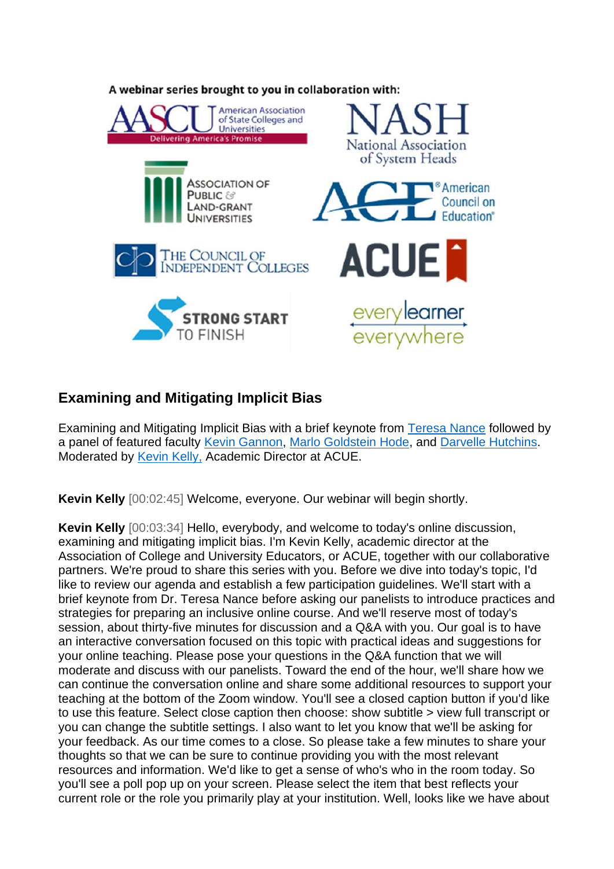## A webinar series brought to you in collaboration with:



## **Examining and Mitigating Implicit Bias**

Examining and Mitigating Implicit Bias with a brief keynote from [Teresa Nance](https://www1.villanova.edu/villanova/artsci/communication/academic/graduate/faculty.html?mail=terry.nance@villanova.edu&xsl=bio_long) followed by a panel of featured faculty [Kevin Gannon,](http://www.teachingushistory.co/contributors/kevin-gannon) [Marlo Goldstein Hode,](https://www.linkedin.com/in/marlogoldsteinhode) and [Darvelle Hutchins.](https://www.linkedin.com/in/darvelle-hutchins/) Moderated by [Kevin Kelly,](https://acue.org/acue_team/kevin-kelly-edd/) Academic Director at ACUE.

**Kevin Kelly** [00:02:45] Welcome, everyone. Our webinar will begin shortly.

**Kevin Kelly** [00:03:34] Hello, everybody, and welcome to today's online discussion, examining and mitigating implicit bias. I'm Kevin Kelly, academic director at the Association of College and University Educators, or ACUE, together with our collaborative partners. We're proud to share this series with you. Before we dive into today's topic, I'd like to review our agenda and establish a few participation guidelines. We'll start with a brief keynote from Dr. Teresa Nance before asking our panelists to introduce practices and strategies for preparing an inclusive online course. And we'll reserve most of today's session, about thirty-five minutes for discussion and a Q&A with you. Our goal is to have an interactive conversation focused on this topic with practical ideas and suggestions for your online teaching. Please pose your questions in the Q&A function that we will moderate and discuss with our panelists. Toward the end of the hour, we'll share how we can continue the conversation online and share some additional resources to support your teaching at the bottom of the Zoom window. You'll see a closed caption button if you'd like to use this feature. Select close caption then choose: show subtitle > view full transcript or you can change the subtitle settings. I also want to let you know that we'll be asking for your feedback. As our time comes to a close. So please take a few minutes to share your thoughts so that we can be sure to continue providing you with the most relevant resources and information. We'd like to get a sense of who's who in the room today. So you'll see a poll pop up on your screen. Please select the item that best reflects your current role or the role you primarily play at your institution. Well, looks like we have about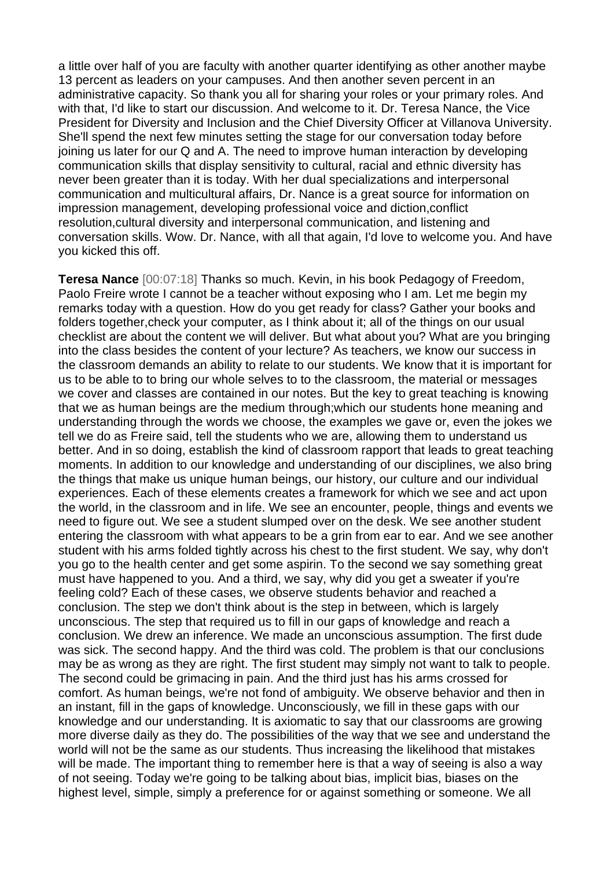a little over half of you are faculty with another quarter identifying as other another maybe 13 percent as leaders on your campuses. And then another seven percent in an administrative capacity. So thank you all for sharing your roles or your primary roles. And with that, I'd like to start our discussion. And welcome to it. Dr. Teresa Nance, the Vice President for Diversity and Inclusion and the Chief Diversity Officer at Villanova University. She'll spend the next few minutes setting the stage for our conversation today before joining us later for our Q and A. The need to improve human interaction by developing communication skills that display sensitivity to cultural, racial and ethnic diversity has never been greater than it is today. With her dual specializations and interpersonal communication and multicultural affairs, Dr. Nance is a great source for information on impression management, developing professional voice and diction,conflict resolution,cultural diversity and interpersonal communication, and listening and conversation skills. Wow. Dr. Nance, with all that again, I'd love to welcome you. And have you kicked this off.

**Teresa Nance** [00:07:18] Thanks so much. Kevin, in his book Pedagogy of Freedom, Paolo Freire wrote I cannot be a teacher without exposing who I am. Let me begin my remarks today with a question. How do you get ready for class? Gather your books and folders together,check your computer, as I think about it; all of the things on our usual checklist are about the content we will deliver. But what about you? What are you bringing into the class besides the content of your lecture? As teachers, we know our success in the classroom demands an ability to relate to our students. We know that it is important for us to be able to to bring our whole selves to to the classroom, the material or messages we cover and classes are contained in our notes. But the key to great teaching is knowing that we as human beings are the medium through;which our students hone meaning and understanding through the words we choose, the examples we gave or, even the jokes we tell we do as Freire said, tell the students who we are, allowing them to understand us better. And in so doing, establish the kind of classroom rapport that leads to great teaching moments. In addition to our knowledge and understanding of our disciplines, we also bring the things that make us unique human beings, our history, our culture and our individual experiences. Each of these elements creates a framework for which we see and act upon the world, in the classroom and in life. We see an encounter, people, things and events we need to figure out. We see a student slumped over on the desk. We see another student entering the classroom with what appears to be a grin from ear to ear. And we see another student with his arms folded tightly across his chest to the first student. We say, why don't you go to the health center and get some aspirin. To the second we say something great must have happened to you. And a third, we say, why did you get a sweater if you're feeling cold? Each of these cases, we observe students behavior and reached a conclusion. The step we don't think about is the step in between, which is largely unconscious. The step that required us to fill in our gaps of knowledge and reach a conclusion. We drew an inference. We made an unconscious assumption. The first dude was sick. The second happy. And the third was cold. The problem is that our conclusions may be as wrong as they are right. The first student may simply not want to talk to people. The second could be grimacing in pain. And the third just has his arms crossed for comfort. As human beings, we're not fond of ambiguity. We observe behavior and then in an instant, fill in the gaps of knowledge. Unconsciously, we fill in these gaps with our knowledge and our understanding. It is axiomatic to say that our classrooms are growing more diverse daily as they do. The possibilities of the way that we see and understand the world will not be the same as our students. Thus increasing the likelihood that mistakes will be made. The important thing to remember here is that a way of seeing is also a way of not seeing. Today we're going to be talking about bias, implicit bias, biases on the highest level, simple, simply a preference for or against something or someone. We all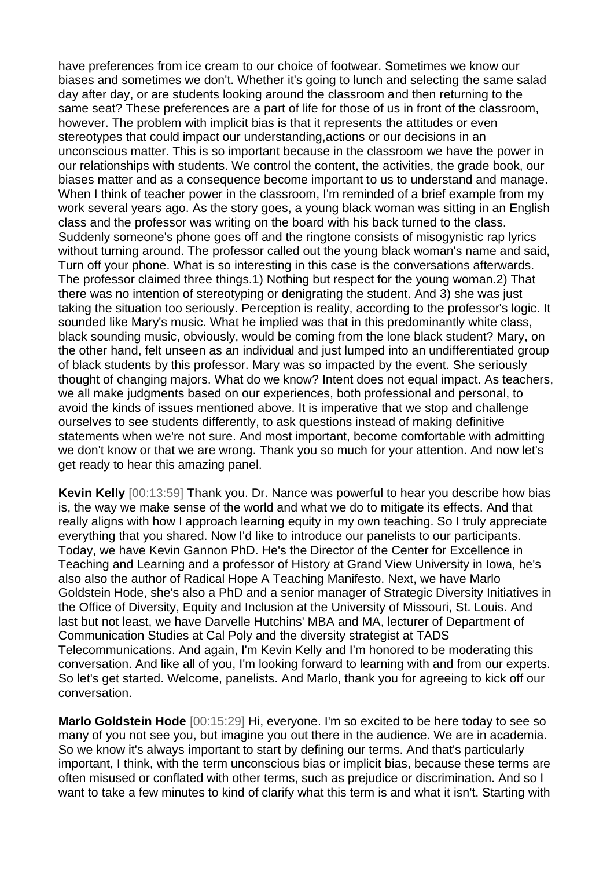have preferences from ice cream to our choice of footwear. Sometimes we know our biases and sometimes we don't. Whether it's going to lunch and selecting the same salad day after day, or are students looking around the classroom and then returning to the same seat? These preferences are a part of life for those of us in front of the classroom, however. The problem with implicit bias is that it represents the attitudes or even stereotypes that could impact our understanding,actions or our decisions in an unconscious matter. This is so important because in the classroom we have the power in our relationships with students. We control the content, the activities, the grade book, our biases matter and as a consequence become important to us to understand and manage. When I think of teacher power in the classroom, I'm reminded of a brief example from my work several years ago. As the story goes, a young black woman was sitting in an English class and the professor was writing on the board with his back turned to the class. Suddenly someone's phone goes off and the ringtone consists of misogynistic rap lyrics without turning around. The professor called out the young black woman's name and said, Turn off your phone. What is so interesting in this case is the conversations afterwards. The professor claimed three things.1) Nothing but respect for the young woman.2) That there was no intention of stereotyping or denigrating the student. And 3) she was just taking the situation too seriously. Perception is reality, according to the professor's logic. It sounded like Mary's music. What he implied was that in this predominantly white class, black sounding music, obviously, would be coming from the lone black student? Mary, on the other hand, felt unseen as an individual and just lumped into an undifferentiated group of black students by this professor. Mary was so impacted by the event. She seriously thought of changing majors. What do we know? Intent does not equal impact. As teachers, we all make judgments based on our experiences, both professional and personal, to avoid the kinds of issues mentioned above. It is imperative that we stop and challenge ourselves to see students differently, to ask questions instead of making definitive statements when we're not sure. And most important, become comfortable with admitting we don't know or that we are wrong. Thank you so much for your attention. And now let's get ready to hear this amazing panel.

**Kevin Kelly** [00:13:59] Thank you. Dr. Nance was powerful to hear you describe how bias is, the way we make sense of the world and what we do to mitigate its effects. And that really aligns with how I approach learning equity in my own teaching. So I truly appreciate everything that you shared. Now I'd like to introduce our panelists to our participants. Today, we have Kevin Gannon PhD. He's the Director of the Center for Excellence in Teaching and Learning and a professor of History at Grand View University in Iowa, he's also also the author of Radical Hope A Teaching Manifesto. Next, we have Marlo Goldstein Hode, she's also a PhD and a senior manager of Strategic Diversity Initiatives in the Office of Diversity, Equity and Inclusion at the University of Missouri, St. Louis. And last but not least, we have Darvelle Hutchins' MBA and MA, lecturer of Department of Communication Studies at Cal Poly and the diversity strategist at TADS Telecommunications. And again, I'm Kevin Kelly and I'm honored to be moderating this conversation. And like all of you, I'm looking forward to learning with and from our experts. So let's get started. Welcome, panelists. And Marlo, thank you for agreeing to kick off our conversation.

**Marlo Goldstein Hode** [00:15:29] Hi, everyone. I'm so excited to be here today to see so many of you not see you, but imagine you out there in the audience. We are in academia. So we know it's always important to start by defining our terms. And that's particularly important, I think, with the term unconscious bias or implicit bias, because these terms are often misused or conflated with other terms, such as prejudice or discrimination. And so I want to take a few minutes to kind of clarify what this term is and what it isn't. Starting with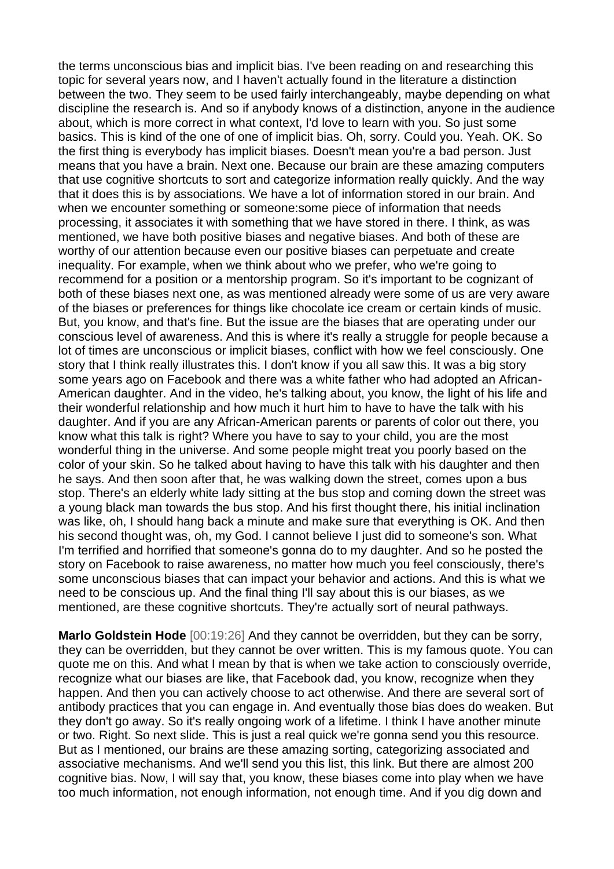the terms unconscious bias and implicit bias. I've been reading on and researching this topic for several years now, and I haven't actually found in the literature a distinction between the two. They seem to be used fairly interchangeably, maybe depending on what discipline the research is. And so if anybody knows of a distinction, anyone in the audience about, which is more correct in what context, I'd love to learn with you. So just some basics. This is kind of the one of one of implicit bias. Oh, sorry. Could you. Yeah. OK. So the first thing is everybody has implicit biases. Doesn't mean you're a bad person. Just means that you have a brain. Next one. Because our brain are these amazing computers that use cognitive shortcuts to sort and categorize information really quickly. And the way that it does this is by associations. We have a lot of information stored in our brain. And when we encounter something or someone:some piece of information that needs processing, it associates it with something that we have stored in there. I think, as was mentioned, we have both positive biases and negative biases. And both of these are worthy of our attention because even our positive biases can perpetuate and create inequality. For example, when we think about who we prefer, who we're going to recommend for a position or a mentorship program. So it's important to be cognizant of both of these biases next one, as was mentioned already were some of us are very aware of the biases or preferences for things like chocolate ice cream or certain kinds of music. But, you know, and that's fine. But the issue are the biases that are operating under our conscious level of awareness. And this is where it's really a struggle for people because a lot of times are unconscious or implicit biases, conflict with how we feel consciously. One story that I think really illustrates this. I don't know if you all saw this. It was a big story some years ago on Facebook and there was a white father who had adopted an African-American daughter. And in the video, he's talking about, you know, the light of his life and their wonderful relationship and how much it hurt him to have to have the talk with his daughter. And if you are any African-American parents or parents of color out there, you know what this talk is right? Where you have to say to your child, you are the most wonderful thing in the universe. And some people might treat you poorly based on the color of your skin. So he talked about having to have this talk with his daughter and then he says. And then soon after that, he was walking down the street, comes upon a bus stop. There's an elderly white lady sitting at the bus stop and coming down the street was a young black man towards the bus stop. And his first thought there, his initial inclination was like, oh, I should hang back a minute and make sure that everything is OK. And then his second thought was, oh, my God. I cannot believe I just did to someone's son. What I'm terrified and horrified that someone's gonna do to my daughter. And so he posted the story on Facebook to raise awareness, no matter how much you feel consciously, there's some unconscious biases that can impact your behavior and actions. And this is what we need to be conscious up. And the final thing I'll say about this is our biases, as we mentioned, are these cognitive shortcuts. They're actually sort of neural pathways.

**Marlo Goldstein Hode** [00:19:26] And they cannot be overridden, but they can be sorry, they can be overridden, but they cannot be over written. This is my famous quote. You can quote me on this. And what I mean by that is when we take action to consciously override, recognize what our biases are like, that Facebook dad, you know, recognize when they happen. And then you can actively choose to act otherwise. And there are several sort of antibody practices that you can engage in. And eventually those bias does do weaken. But they don't go away. So it's really ongoing work of a lifetime. I think I have another minute or two. Right. So next slide. This is just a real quick we're gonna send you this resource. But as I mentioned, our brains are these amazing sorting, categorizing associated and associative mechanisms. And we'll send you this list, this link. But there are almost 200 cognitive bias. Now, I will say that, you know, these biases come into play when we have too much information, not enough information, not enough time. And if you dig down and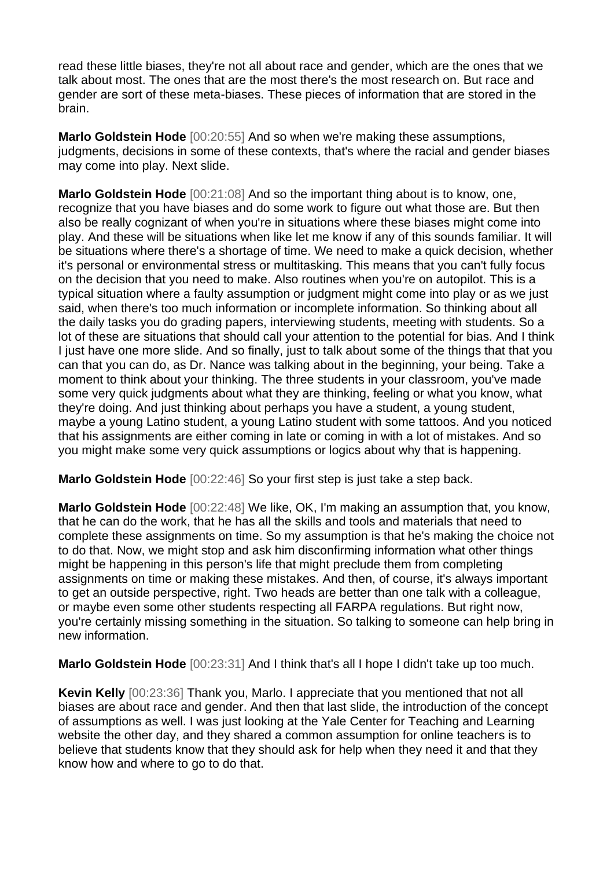read these little biases, they're not all about race and gender, which are the ones that we talk about most. The ones that are the most there's the most research on. But race and gender are sort of these meta-biases. These pieces of information that are stored in the brain.

**Marlo Goldstein Hode** [00:20:55] And so when we're making these assumptions, judgments, decisions in some of these contexts, that's where the racial and gender biases may come into play. Next slide.

**Marlo Goldstein Hode** [00:21:08] And so the important thing about is to know, one, recognize that you have biases and do some work to figure out what those are. But then also be really cognizant of when you're in situations where these biases might come into play. And these will be situations when like let me know if any of this sounds familiar. It will be situations where there's a shortage of time. We need to make a quick decision, whether it's personal or environmental stress or multitasking. This means that you can't fully focus on the decision that you need to make. Also routines when you're on autopilot. This is a typical situation where a faulty assumption or judgment might come into play or as we just said, when there's too much information or incomplete information. So thinking about all the daily tasks you do grading papers, interviewing students, meeting with students. So a lot of these are situations that should call your attention to the potential for bias. And I think I just have one more slide. And so finally, just to talk about some of the things that that you can that you can do, as Dr. Nance was talking about in the beginning, your being. Take a moment to think about your thinking. The three students in your classroom, you've made some very quick judgments about what they are thinking, feeling or what you know, what they're doing. And just thinking about perhaps you have a student, a young student, maybe a young Latino student, a young Latino student with some tattoos. And you noticed that his assignments are either coming in late or coming in with a lot of mistakes. And so you might make some very quick assumptions or logics about why that is happening.

**Marlo Goldstein Hode** [00:22:46] So your first step is just take a step back.

**Marlo Goldstein Hode** [00:22:48] We like, OK, I'm making an assumption that, you know, that he can do the work, that he has all the skills and tools and materials that need to complete these assignments on time. So my assumption is that he's making the choice not to do that. Now, we might stop and ask him disconfirming information what other things might be happening in this person's life that might preclude them from completing assignments on time or making these mistakes. And then, of course, it's always important to get an outside perspective, right. Two heads are better than one talk with a colleague, or maybe even some other students respecting all FARPA regulations. But right now, you're certainly missing something in the situation. So talking to someone can help bring in new information.

**Marlo Goldstein Hode** [00:23:31] And I think that's all I hope I didn't take up too much.

**Kevin Kelly** [00:23:36] Thank you, Marlo. I appreciate that you mentioned that not all biases are about race and gender. And then that last slide, the introduction of the concept of assumptions as well. I was just looking at the Yale Center for Teaching and Learning website the other day, and they shared a common assumption for online teachers is to believe that students know that they should ask for help when they need it and that they know how and where to go to do that.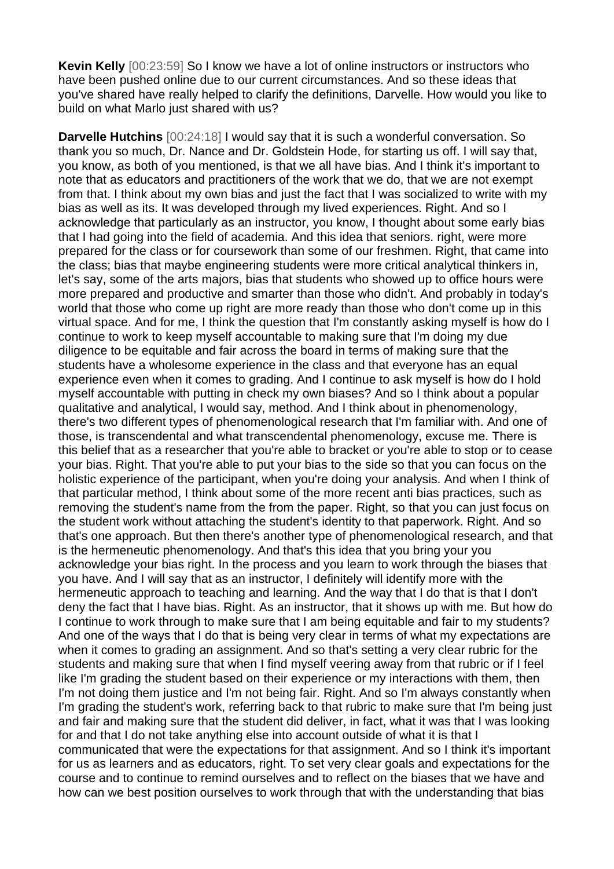**Kevin Kelly** [00:23:59] So I know we have a lot of online instructors or instructors who have been pushed online due to our current circumstances. And so these ideas that you've shared have really helped to clarify the definitions, Darvelle. How would you like to build on what Marlo just shared with us?

**Darvelle Hutchins** [00:24:18] I would say that it is such a wonderful conversation. So thank you so much, Dr. Nance and Dr. Goldstein Hode, for starting us off. I will say that, you know, as both of you mentioned, is that we all have bias. And I think it's important to note that as educators and practitioners of the work that we do, that we are not exempt from that. I think about my own bias and just the fact that I was socialized to write with my bias as well as its. It was developed through my lived experiences. Right. And so I acknowledge that particularly as an instructor, you know, I thought about some early bias that I had going into the field of academia. And this idea that seniors. right, were more prepared for the class or for coursework than some of our freshmen. Right, that came into the class; bias that maybe engineering students were more critical analytical thinkers in, let's say, some of the arts majors, bias that students who showed up to office hours were more prepared and productive and smarter than those who didn't. And probably in today's world that those who come up right are more ready than those who don't come up in this virtual space. And for me, I think the question that I'm constantly asking myself is how do I continue to work to keep myself accountable to making sure that I'm doing my due diligence to be equitable and fair across the board in terms of making sure that the students have a wholesome experience in the class and that everyone has an equal experience even when it comes to grading. And I continue to ask myself is how do I hold myself accountable with putting in check my own biases? And so I think about a popular qualitative and analytical, I would say, method. And I think about in phenomenology, there's two different types of phenomenological research that I'm familiar with. And one of those, is transcendental and what transcendental phenomenology, excuse me. There is this belief that as a researcher that you're able to bracket or you're able to stop or to cease your bias. Right. That you're able to put your bias to the side so that you can focus on the holistic experience of the participant, when you're doing your analysis. And when I think of that particular method, I think about some of the more recent anti bias practices, such as removing the student's name from the from the paper. Right, so that you can just focus on the student work without attaching the student's identity to that paperwork. Right. And so that's one approach. But then there's another type of phenomenological research, and that is the hermeneutic phenomenology. And that's this idea that you bring your you acknowledge your bias right. In the process and you learn to work through the biases that you have. And I will say that as an instructor, I definitely will identify more with the hermeneutic approach to teaching and learning. And the way that I do that is that I don't deny the fact that I have bias. Right. As an instructor, that it shows up with me. But how do I continue to work through to make sure that I am being equitable and fair to my students? And one of the ways that I do that is being very clear in terms of what my expectations are when it comes to grading an assignment. And so that's setting a very clear rubric for the students and making sure that when I find myself veering away from that rubric or if I feel like I'm grading the student based on their experience or my interactions with them, then I'm not doing them justice and I'm not being fair. Right. And so I'm always constantly when I'm grading the student's work, referring back to that rubric to make sure that I'm being just and fair and making sure that the student did deliver, in fact, what it was that I was looking for and that I do not take anything else into account outside of what it is that I communicated that were the expectations for that assignment. And so I think it's important for us as learners and as educators, right. To set very clear goals and expectations for the course and to continue to remind ourselves and to reflect on the biases that we have and how can we best position ourselves to work through that with the understanding that bias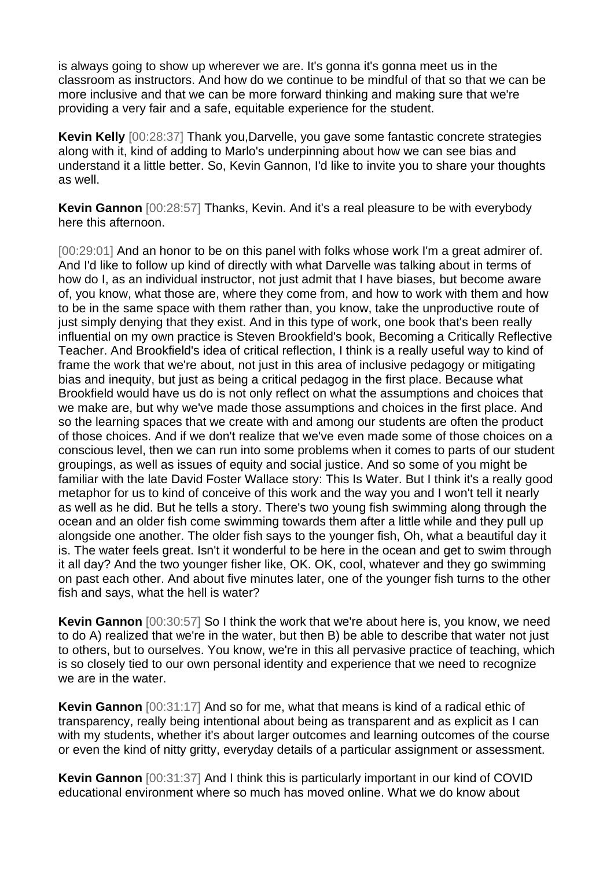is always going to show up wherever we are. It's gonna it's gonna meet us in the classroom as instructors. And how do we continue to be mindful of that so that we can be more inclusive and that we can be more forward thinking and making sure that we're providing a very fair and a safe, equitable experience for the student.

**Kevin Kelly** [00:28:37] Thank you,Darvelle, you gave some fantastic concrete strategies along with it, kind of adding to Marlo's underpinning about how we can see bias and understand it a little better. So, Kevin Gannon, I'd like to invite you to share your thoughts as well.

**Kevin Gannon** [00:28:57] Thanks, Kevin. And it's a real pleasure to be with everybody here this afternoon.

[00:29:01] And an honor to be on this panel with folks whose work I'm a great admirer of. And I'd like to follow up kind of directly with what Darvelle was talking about in terms of how do I, as an individual instructor, not just admit that I have biases, but become aware of, you know, what those are, where they come from, and how to work with them and how to be in the same space with them rather than, you know, take the unproductive route of just simply denying that they exist. And in this type of work, one book that's been really influential on my own practice is Steven Brookfield's book, Becoming a Critically Reflective Teacher. And Brookfield's idea of critical reflection, I think is a really useful way to kind of frame the work that we're about, not just in this area of inclusive pedagogy or mitigating bias and inequity, but just as being a critical pedagog in the first place. Because what Brookfield would have us do is not only reflect on what the assumptions and choices that we make are, but why we've made those assumptions and choices in the first place. And so the learning spaces that we create with and among our students are often the product of those choices. And if we don't realize that we've even made some of those choices on a conscious level, then we can run into some problems when it comes to parts of our student groupings, as well as issues of equity and social justice. And so some of you might be familiar with the late David Foster Wallace story: This Is Water. But I think it's a really good metaphor for us to kind of conceive of this work and the way you and I won't tell it nearly as well as he did. But he tells a story. There's two young fish swimming along through the ocean and an older fish come swimming towards them after a little while and they pull up alongside one another. The older fish says to the younger fish, Oh, what a beautiful day it is. The water feels great. Isn't it wonderful to be here in the ocean and get to swim through it all day? And the two younger fisher like, OK. OK, cool, whatever and they go swimming on past each other. And about five minutes later, one of the younger fish turns to the other fish and says, what the hell is water?

**Kevin Gannon** [00:30:57] So I think the work that we're about here is, you know, we need to do A) realized that we're in the water, but then B) be able to describe that water not just to others, but to ourselves. You know, we're in this all pervasive practice of teaching, which is so closely tied to our own personal identity and experience that we need to recognize we are in the water.

**Kevin Gannon** [00:31:17] And so for me, what that means is kind of a radical ethic of transparency, really being intentional about being as transparent and as explicit as I can with my students, whether it's about larger outcomes and learning outcomes of the course or even the kind of nitty gritty, everyday details of a particular assignment or assessment.

**Kevin Gannon** [00:31:37] And I think this is particularly important in our kind of COVID educational environment where so much has moved online. What we do know about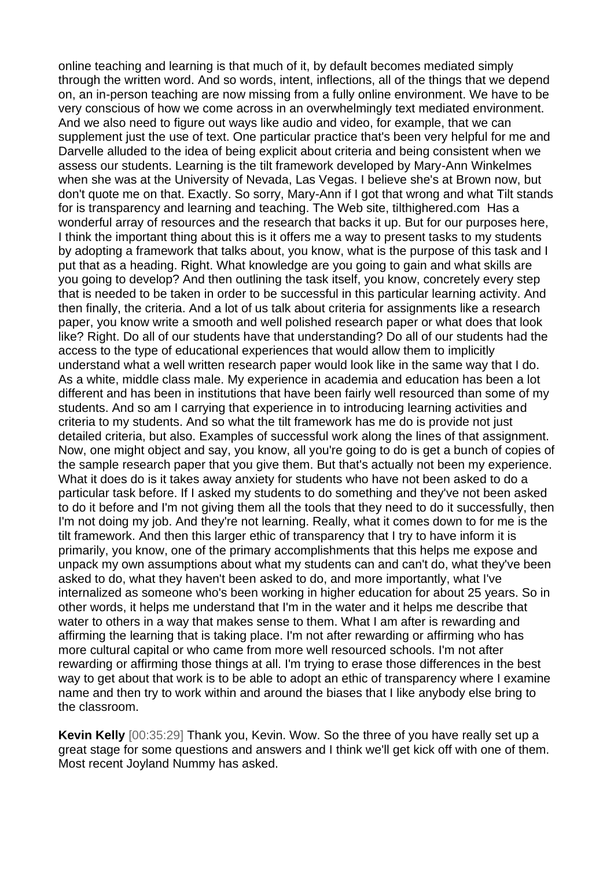online teaching and learning is that much of it, by default becomes mediated simply through the written word. And so words, intent, inflections, all of the things that we depend on, an in-person teaching are now missing from a fully online environment. We have to be very conscious of how we come across in an overwhelmingly text mediated environment. And we also need to figure out ways like audio and video, for example, that we can supplement just the use of text. One particular practice that's been very helpful for me and Darvelle alluded to the idea of being explicit about criteria and being consistent when we assess our students. Learning is the tilt framework developed by Mary-Ann Winkelmes when she was at the University of Nevada, Las Vegas. I believe she's at Brown now, but don't quote me on that. Exactly. So sorry, Mary-Ann if I got that wrong and what Tilt stands for is transparency and learning and teaching. The Web site, tilthighered.com Has a wonderful array of resources and the research that backs it up. But for our purposes here, I think the important thing about this is it offers me a way to present tasks to my students by adopting a framework that talks about, you know, what is the purpose of this task and I put that as a heading. Right. What knowledge are you going to gain and what skills are you going to develop? And then outlining the task itself, you know, concretely every step that is needed to be taken in order to be successful in this particular learning activity. And then finally, the criteria. And a lot of us talk about criteria for assignments like a research paper, you know write a smooth and well polished research paper or what does that look like? Right. Do all of our students have that understanding? Do all of our students had the access to the type of educational experiences that would allow them to implicitly understand what a well written research paper would look like in the same way that I do. As a white, middle class male. My experience in academia and education has been a lot different and has been in institutions that have been fairly well resourced than some of my students. And so am I carrying that experience in to introducing learning activities and criteria to my students. And so what the tilt framework has me do is provide not just detailed criteria, but also. Examples of successful work along the lines of that assignment. Now, one might object and say, you know, all you're going to do is get a bunch of copies of the sample research paper that you give them. But that's actually not been my experience. What it does do is it takes away anxiety for students who have not been asked to do a particular task before. If I asked my students to do something and they've not been asked to do it before and I'm not giving them all the tools that they need to do it successfully, then I'm not doing my job. And they're not learning. Really, what it comes down to for me is the tilt framework. And then this larger ethic of transparency that I try to have inform it is primarily, you know, one of the primary accomplishments that this helps me expose and unpack my own assumptions about what my students can and can't do, what they've been asked to do, what they haven't been asked to do, and more importantly, what I've internalized as someone who's been working in higher education for about 25 years. So in other words, it helps me understand that I'm in the water and it helps me describe that water to others in a way that makes sense to them. What I am after is rewarding and affirming the learning that is taking place. I'm not after rewarding or affirming who has more cultural capital or who came from more well resourced schools. I'm not after rewarding or affirming those things at all. I'm trying to erase those differences in the best way to get about that work is to be able to adopt an ethic of transparency where I examine name and then try to work within and around the biases that I like anybody else bring to the classroom.

**Kevin Kelly** [00:35:29] Thank you, Kevin. Wow. So the three of you have really set up a great stage for some questions and answers and I think we'll get kick off with one of them. Most recent Joyland Nummy has asked.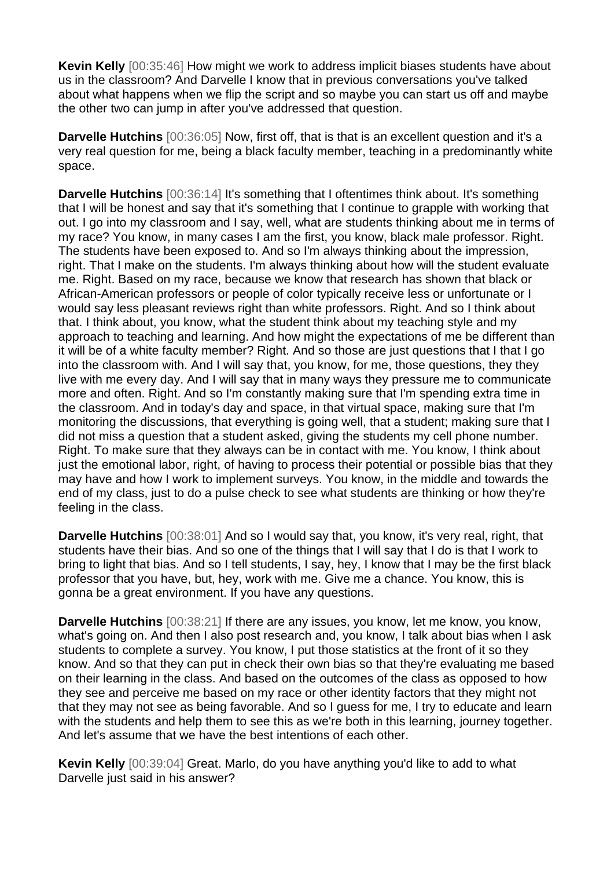**Kevin Kelly** [00:35:46] How might we work to address implicit biases students have about us in the classroom? And Darvelle I know that in previous conversations you've talked about what happens when we flip the script and so maybe you can start us off and maybe the other two can jump in after you've addressed that question.

**Darvelle Hutchins** [00:36:05] Now, first off, that is that is an excellent question and it's a very real question for me, being a black faculty member, teaching in a predominantly white space.

**Darvelle Hutchins**  $[00:36:14]$  It's something that I oftentimes think about. It's something that I will be honest and say that it's something that I continue to grapple with working that out. I go into my classroom and I say, well, what are students thinking about me in terms of my race? You know, in many cases I am the first, you know, black male professor. Right. The students have been exposed to. And so I'm always thinking about the impression, right. That I make on the students. I'm always thinking about how will the student evaluate me. Right. Based on my race, because we know that research has shown that black or African-American professors or people of color typically receive less or unfortunate or I would say less pleasant reviews right than white professors. Right. And so I think about that. I think about, you know, what the student think about my teaching style and my approach to teaching and learning. And how might the expectations of me be different than it will be of a white faculty member? Right. And so those are just questions that I that I go into the classroom with. And I will say that, you know, for me, those questions, they they live with me every day. And I will say that in many ways they pressure me to communicate more and often. Right. And so I'm constantly making sure that I'm spending extra time in the classroom. And in today's day and space, in that virtual space, making sure that I'm monitoring the discussions, that everything is going well, that a student; making sure that I did not miss a question that a student asked, giving the students my cell phone number. Right. To make sure that they always can be in contact with me. You know, I think about just the emotional labor, right, of having to process their potential or possible bias that they may have and how I work to implement surveys. You know, in the middle and towards the end of my class, just to do a pulse check to see what students are thinking or how they're feeling in the class.

**Darvelle Hutchins**  $[00:38:01]$  And so I would say that, you know, it's very real, right, that students have their bias. And so one of the things that I will say that I do is that I work to bring to light that bias. And so I tell students, I say, hey, I know that I may be the first black professor that you have, but, hey, work with me. Give me a chance. You know, this is gonna be a great environment. If you have any questions.

**Darvelle Hutchins** [00:38:21] If there are any issues, you know, let me know, you know, what's going on. And then I also post research and, you know, I talk about bias when I ask students to complete a survey. You know, I put those statistics at the front of it so they know. And so that they can put in check their own bias so that they're evaluating me based on their learning in the class. And based on the outcomes of the class as opposed to how they see and perceive me based on my race or other identity factors that they might not that they may not see as being favorable. And so I guess for me, I try to educate and learn with the students and help them to see this as we're both in this learning, journey together. And let's assume that we have the best intentions of each other.

**Kevin Kelly** [00:39:04] Great. Marlo, do you have anything you'd like to add to what Darvelle just said in his answer?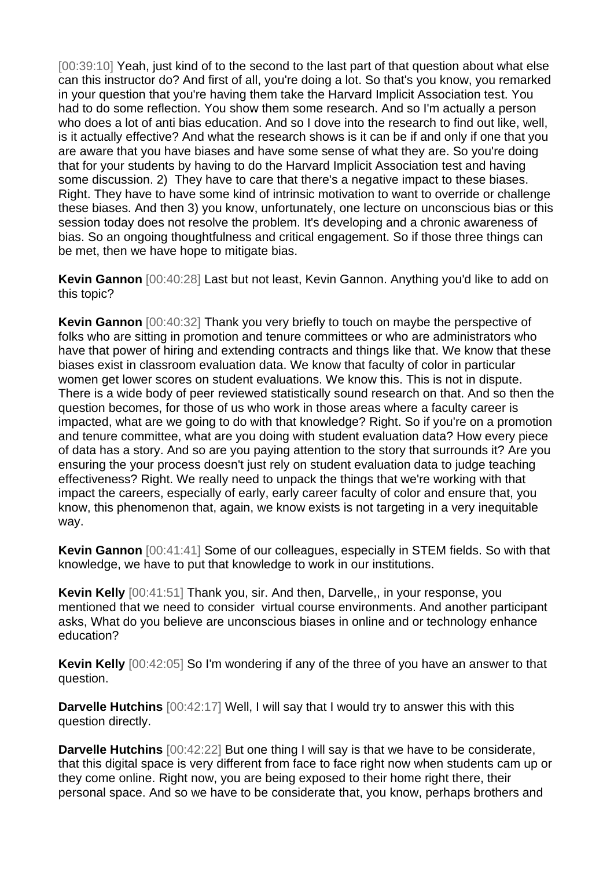[00:39:10] Yeah, just kind of to the second to the last part of that question about what else can this instructor do? And first of all, you're doing a lot. So that's you know, you remarked in your question that you're having them take the Harvard Implicit Association test. You had to do some reflection. You show them some research. And so I'm actually a person who does a lot of anti bias education. And so I dove into the research to find out like, well, is it actually effective? And what the research shows is it can be if and only if one that you are aware that you have biases and have some sense of what they are. So you're doing that for your students by having to do the Harvard Implicit Association test and having some discussion. 2) They have to care that there's a negative impact to these biases. Right. They have to have some kind of intrinsic motivation to want to override or challenge these biases. And then 3) you know, unfortunately, one lecture on unconscious bias or this session today does not resolve the problem. It's developing and a chronic awareness of bias. So an ongoing thoughtfulness and critical engagement. So if those three things can be met, then we have hope to mitigate bias.

**Kevin Gannon** [00:40:28] Last but not least, Kevin Gannon. Anything you'd like to add on this topic?

**Kevin Gannon** [00:40:32] Thank you very briefly to touch on maybe the perspective of folks who are sitting in promotion and tenure committees or who are administrators who have that power of hiring and extending contracts and things like that. We know that these biases exist in classroom evaluation data. We know that faculty of color in particular women get lower scores on student evaluations. We know this. This is not in dispute. There is a wide body of peer reviewed statistically sound research on that. And so then the question becomes, for those of us who work in those areas where a faculty career is impacted, what are we going to do with that knowledge? Right. So if you're on a promotion and tenure committee, what are you doing with student evaluation data? How every piece of data has a story. And so are you paying attention to the story that surrounds it? Are you ensuring the your process doesn't just rely on student evaluation data to judge teaching effectiveness? Right. We really need to unpack the things that we're working with that impact the careers, especially of early, early career faculty of color and ensure that, you know, this phenomenon that, again, we know exists is not targeting in a very inequitable way.

**Kevin Gannon** [00:41:41] Some of our colleagues, especially in STEM fields. So with that knowledge, we have to put that knowledge to work in our institutions.

**Kevin Kelly** [00:41:51] Thank you, sir. And then, Darvelle,, in your response, you mentioned that we need to consider virtual course environments. And another participant asks, What do you believe are unconscious biases in online and or technology enhance education?

**Kevin Kelly** [00:42:05] So I'm wondering if any of the three of you have an answer to that question.

**Darvelle Hutchins** [00:42:17] Well, I will say that I would try to answer this with this question directly.

**Darvelle Hutchins** [00:42:22] But one thing I will say is that we have to be considerate, that this digital space is very different from face to face right now when students cam up or they come online. Right now, you are being exposed to their home right there, their personal space. And so we have to be considerate that, you know, perhaps brothers and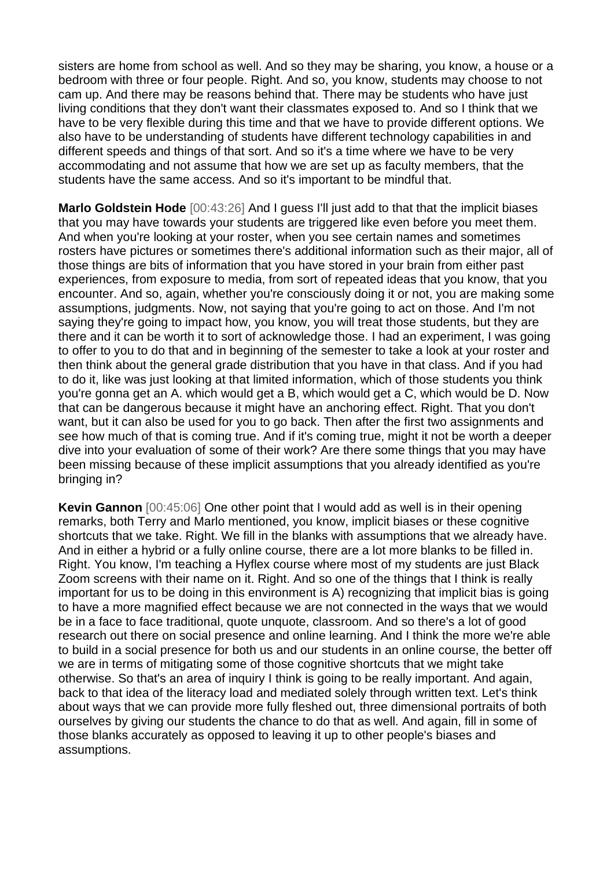sisters are home from school as well. And so they may be sharing, you know, a house or a bedroom with three or four people. Right. And so, you know, students may choose to not cam up. And there may be reasons behind that. There may be students who have just living conditions that they don't want their classmates exposed to. And so I think that we have to be very flexible during this time and that we have to provide different options. We also have to be understanding of students have different technology capabilities in and different speeds and things of that sort. And so it's a time where we have to be very accommodating and not assume that how we are set up as faculty members, that the students have the same access. And so it's important to be mindful that.

**Marlo Goldstein Hode** [00:43:26] And I guess I'll just add to that that the implicit biases that you may have towards your students are triggered like even before you meet them. And when you're looking at your roster, when you see certain names and sometimes rosters have pictures or sometimes there's additional information such as their major, all of those things are bits of information that you have stored in your brain from either past experiences, from exposure to media, from sort of repeated ideas that you know, that you encounter. And so, again, whether you're consciously doing it or not, you are making some assumptions, judgments. Now, not saying that you're going to act on those. And I'm not saying they're going to impact how, you know, you will treat those students, but they are there and it can be worth it to sort of acknowledge those. I had an experiment, I was going to offer to you to do that and in beginning of the semester to take a look at your roster and then think about the general grade distribution that you have in that class. And if you had to do it, like was just looking at that limited information, which of those students you think you're gonna get an A. which would get a B, which would get a C, which would be D. Now that can be dangerous because it might have an anchoring effect. Right. That you don't want, but it can also be used for you to go back. Then after the first two assignments and see how much of that is coming true. And if it's coming true, might it not be worth a deeper dive into your evaluation of some of their work? Are there some things that you may have been missing because of these implicit assumptions that you already identified as you're bringing in?

**Kevin Gannon** [00:45:06] One other point that I would add as well is in their opening remarks, both Terry and Marlo mentioned, you know, implicit biases or these cognitive shortcuts that we take. Right. We fill in the blanks with assumptions that we already have. And in either a hybrid or a fully online course, there are a lot more blanks to be filled in. Right. You know, I'm teaching a Hyflex course where most of my students are just Black Zoom screens with their name on it. Right. And so one of the things that I think is really important for us to be doing in this environment is A) recognizing that implicit bias is going to have a more magnified effect because we are not connected in the ways that we would be in a face to face traditional, quote unquote, classroom. And so there's a lot of good research out there on social presence and online learning. And I think the more we're able to build in a social presence for both us and our students in an online course, the better off we are in terms of mitigating some of those cognitive shortcuts that we might take otherwise. So that's an area of inquiry I think is going to be really important. And again, back to that idea of the literacy load and mediated solely through written text. Let's think about ways that we can provide more fully fleshed out, three dimensional portraits of both ourselves by giving our students the chance to do that as well. And again, fill in some of those blanks accurately as opposed to leaving it up to other people's biases and assumptions.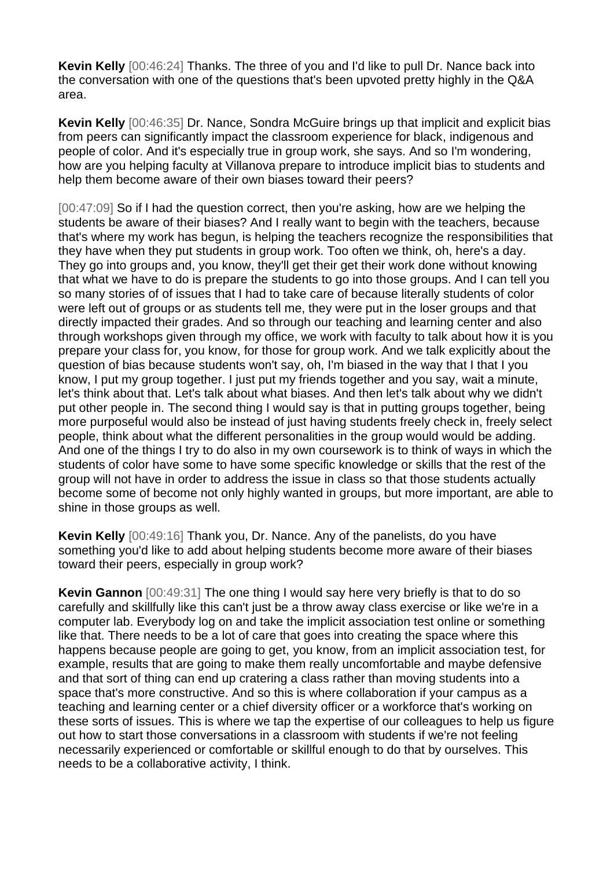**Kevin Kelly** [00:46:24] Thanks. The three of you and I'd like to pull Dr. Nance back into the conversation with one of the questions that's been upvoted pretty highly in the Q&A area.

**Kevin Kelly** [00:46:35] Dr. Nance, Sondra McGuire brings up that implicit and explicit bias from peers can significantly impact the classroom experience for black, indigenous and people of color. And it's especially true in group work, she says. And so I'm wondering, how are you helping faculty at Villanova prepare to introduce implicit bias to students and help them become aware of their own biases toward their peers?

[00:47:09] So if I had the question correct, then you're asking, how are we helping the students be aware of their biases? And I really want to begin with the teachers, because that's where my work has begun, is helping the teachers recognize the responsibilities that they have when they put students in group work. Too often we think, oh, here's a day. They go into groups and, you know, they'll get their get their work done without knowing that what we have to do is prepare the students to go into those groups. And I can tell you so many stories of of issues that I had to take care of because literally students of color were left out of groups or as students tell me, they were put in the loser groups and that directly impacted their grades. And so through our teaching and learning center and also through workshops given through my office, we work with faculty to talk about how it is you prepare your class for, you know, for those for group work. And we talk explicitly about the question of bias because students won't say, oh, I'm biased in the way that I that I you know, I put my group together. I just put my friends together and you say, wait a minute, let's think about that. Let's talk about what biases. And then let's talk about why we didn't put other people in. The second thing I would say is that in putting groups together, being more purposeful would also be instead of just having students freely check in, freely select people, think about what the different personalities in the group would would be adding. And one of the things I try to do also in my own coursework is to think of ways in which the students of color have some to have some specific knowledge or skills that the rest of the group will not have in order to address the issue in class so that those students actually become some of become not only highly wanted in groups, but more important, are able to shine in those groups as well.

**Kevin Kelly** [00:49:16] Thank you, Dr. Nance. Any of the panelists, do you have something you'd like to add about helping students become more aware of their biases toward their peers, especially in group work?

**Kevin Gannon** [00:49:31] The one thing I would say here very briefly is that to do so carefully and skillfully like this can't just be a throw away class exercise or like we're in a computer lab. Everybody log on and take the implicit association test online or something like that. There needs to be a lot of care that goes into creating the space where this happens because people are going to get, you know, from an implicit association test, for example, results that are going to make them really uncomfortable and maybe defensive and that sort of thing can end up cratering a class rather than moving students into a space that's more constructive. And so this is where collaboration if your campus as a teaching and learning center or a chief diversity officer or a workforce that's working on these sorts of issues. This is where we tap the expertise of our colleagues to help us figure out how to start those conversations in a classroom with students if we're not feeling necessarily experienced or comfortable or skillful enough to do that by ourselves. This needs to be a collaborative activity, I think.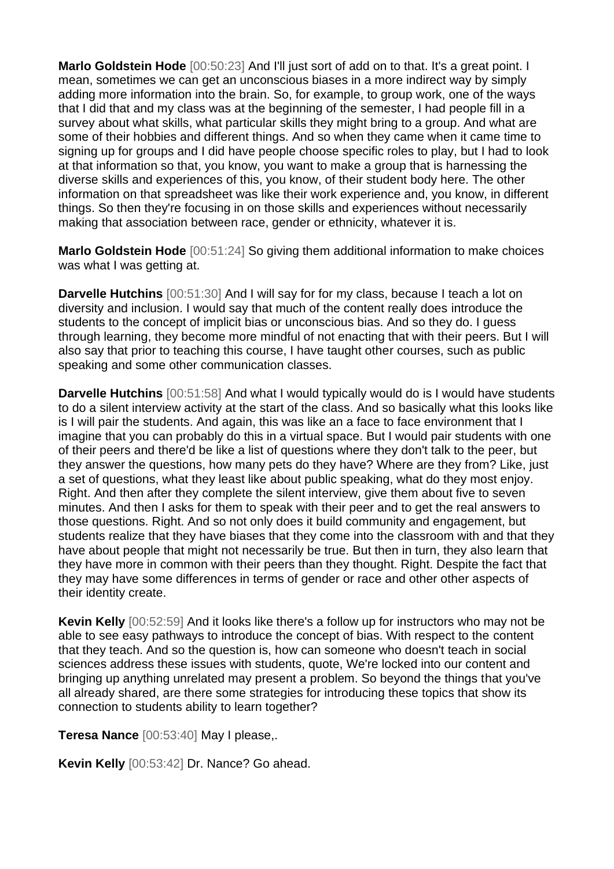**Marlo Goldstein Hode** [00:50:23] And I'll just sort of add on to that. It's a great point. I mean, sometimes we can get an unconscious biases in a more indirect way by simply adding more information into the brain. So, for example, to group work, one of the ways that I did that and my class was at the beginning of the semester, I had people fill in a survey about what skills, what particular skills they might bring to a group. And what are some of their hobbies and different things. And so when they came when it came time to signing up for groups and I did have people choose specific roles to play, but I had to look at that information so that, you know, you want to make a group that is harnessing the diverse skills and experiences of this, you know, of their student body here. The other information on that spreadsheet was like their work experience and, you know, in different things. So then they're focusing in on those skills and experiences without necessarily making that association between race, gender or ethnicity, whatever it is.

**Marlo Goldstein Hode** [00:51:24] So giving them additional information to make choices was what I was getting at.

**Darvelle Hutchins** [00:51:30] And I will say for for my class, because I teach a lot on diversity and inclusion. I would say that much of the content really does introduce the students to the concept of implicit bias or unconscious bias. And so they do. I guess through learning, they become more mindful of not enacting that with their peers. But I will also say that prior to teaching this course, I have taught other courses, such as public speaking and some other communication classes.

**Darvelle Hutchins** [00:51:58] And what I would typically would do is I would have students to do a silent interview activity at the start of the class. And so basically what this looks like is I will pair the students. And again, this was like an a face to face environment that I imagine that you can probably do this in a virtual space. But I would pair students with one of their peers and there'd be like a list of questions where they don't talk to the peer, but they answer the questions, how many pets do they have? Where are they from? Like, just a set of questions, what they least like about public speaking, what do they most enjoy. Right. And then after they complete the silent interview, give them about five to seven minutes. And then I asks for them to speak with their peer and to get the real answers to those questions. Right. And so not only does it build community and engagement, but students realize that they have biases that they come into the classroom with and that they have about people that might not necessarily be true. But then in turn, they also learn that they have more in common with their peers than they thought. Right. Despite the fact that they may have some differences in terms of gender or race and other other aspects of their identity create.

**Kevin Kelly** [00:52:59] And it looks like there's a follow up for instructors who may not be able to see easy pathways to introduce the concept of bias. With respect to the content that they teach. And so the question is, how can someone who doesn't teach in social sciences address these issues with students, quote, We're locked into our content and bringing up anything unrelated may present a problem. So beyond the things that you've all already shared, are there some strategies for introducing these topics that show its connection to students ability to learn together?

**Teresa Nance** [00:53:40] May I please,.

**Kevin Kelly** [00:53:42] Dr. Nance? Go ahead.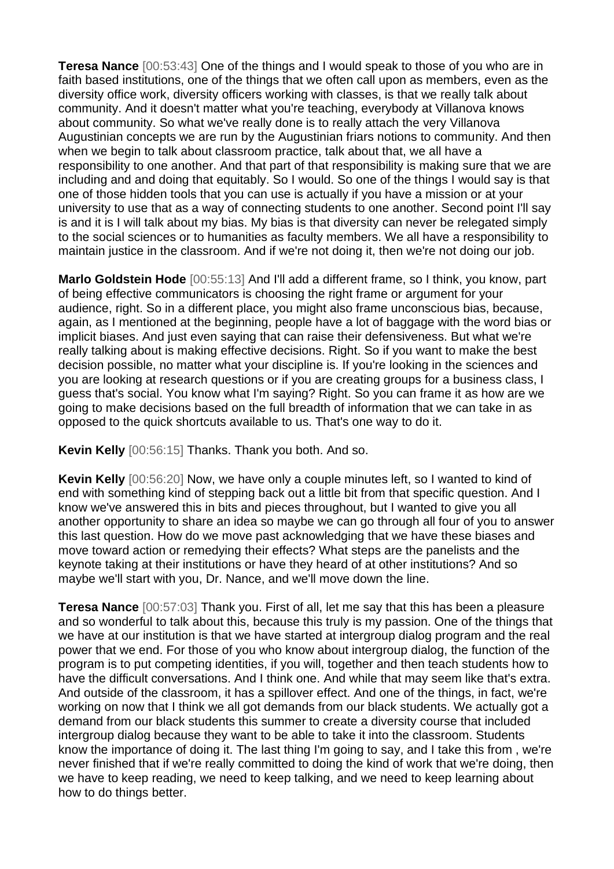**Teresa Nance** [00:53:43] One of the things and I would speak to those of you who are in faith based institutions, one of the things that we often call upon as members, even as the diversity office work, diversity officers working with classes, is that we really talk about community. And it doesn't matter what you're teaching, everybody at Villanova knows about community. So what we've really done is to really attach the very Villanova Augustinian concepts we are run by the Augustinian friars notions to community. And then when we begin to talk about classroom practice, talk about that, we all have a responsibility to one another. And that part of that responsibility is making sure that we are including and and doing that equitably. So I would. So one of the things I would say is that one of those hidden tools that you can use is actually if you have a mission or at your university to use that as a way of connecting students to one another. Second point I'll say is and it is I will talk about my bias. My bias is that diversity can never be relegated simply to the social sciences or to humanities as faculty members. We all have a responsibility to maintain justice in the classroom. And if we're not doing it, then we're not doing our job.

**Marlo Goldstein Hode** [00:55:13] And I'll add a different frame, so I think, you know, part of being effective communicators is choosing the right frame or argument for your audience, right. So in a different place, you might also frame unconscious bias, because, again, as I mentioned at the beginning, people have a lot of baggage with the word bias or implicit biases. And just even saying that can raise their defensiveness. But what we're really talking about is making effective decisions. Right. So if you want to make the best decision possible, no matter what your discipline is. If you're looking in the sciences and you are looking at research questions or if you are creating groups for a business class, I guess that's social. You know what I'm saying? Right. So you can frame it as how are we going to make decisions based on the full breadth of information that we can take in as opposed to the quick shortcuts available to us. That's one way to do it.

**Kevin Kelly** [00:56:15] Thanks. Thank you both. And so.

**Kevin Kelly** [00:56:20] Now, we have only a couple minutes left, so I wanted to kind of end with something kind of stepping back out a little bit from that specific question. And I know we've answered this in bits and pieces throughout, but I wanted to give you all another opportunity to share an idea so maybe we can go through all four of you to answer this last question. How do we move past acknowledging that we have these biases and move toward action or remedying their effects? What steps are the panelists and the keynote taking at their institutions or have they heard of at other institutions? And so maybe we'll start with you, Dr. Nance, and we'll move down the line.

**Teresa Nance** [00:57:03] Thank you. First of all, let me say that this has been a pleasure and so wonderful to talk about this, because this truly is my passion. One of the things that we have at our institution is that we have started at intergroup dialog program and the real power that we end. For those of you who know about intergroup dialog, the function of the program is to put competing identities, if you will, together and then teach students how to have the difficult conversations. And I think one. And while that may seem like that's extra. And outside of the classroom, it has a spillover effect. And one of the things, in fact, we're working on now that I think we all got demands from our black students. We actually got a demand from our black students this summer to create a diversity course that included intergroup dialog because they want to be able to take it into the classroom. Students know the importance of doing it. The last thing I'm going to say, and I take this from , we're never finished that if we're really committed to doing the kind of work that we're doing, then we have to keep reading, we need to keep talking, and we need to keep learning about how to do things better.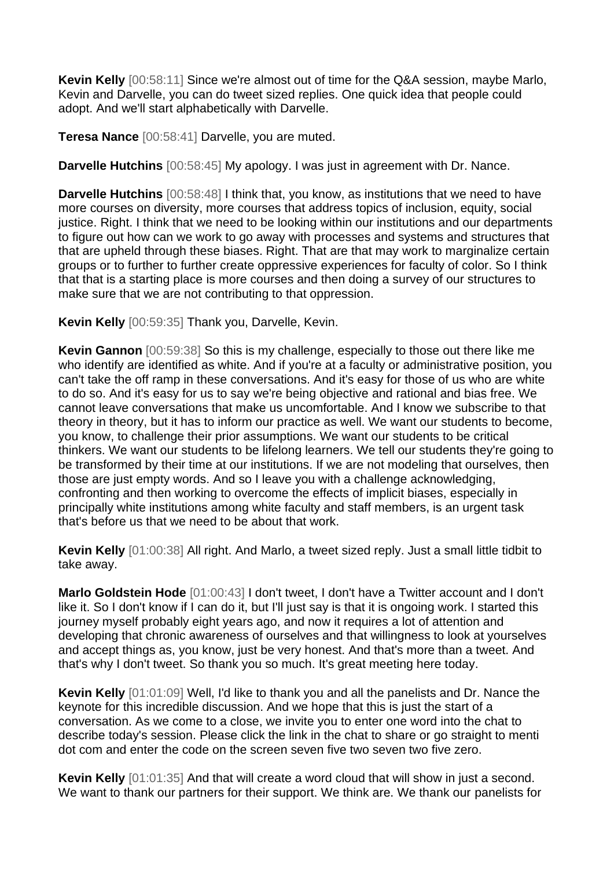**Kevin Kelly** [00:58:11] Since we're almost out of time for the Q&A session, maybe Marlo, Kevin and Darvelle, you can do tweet sized replies. One quick idea that people could adopt. And we'll start alphabetically with Darvelle.

**Teresa Nance** [00:58:41] Darvelle, you are muted.

**Darvelle Hutchins** [00:58:45] My apology. I was just in agreement with Dr. Nance.

**Darvelle Hutchins** [00:58:48] I think that, you know, as institutions that we need to have more courses on diversity, more courses that address topics of inclusion, equity, social justice. Right. I think that we need to be looking within our institutions and our departments to figure out how can we work to go away with processes and systems and structures that that are upheld through these biases. Right. That are that may work to marginalize certain groups or to further to further create oppressive experiences for faculty of color. So I think that that is a starting place is more courses and then doing a survey of our structures to make sure that we are not contributing to that oppression.

**Kevin Kelly** [00:59:35] Thank you, Darvelle, Kevin.

**Kevin Gannon** [00:59:38] So this is my challenge, especially to those out there like me who identify are identified as white. And if you're at a faculty or administrative position, you can't take the off ramp in these conversations. And it's easy for those of us who are white to do so. And it's easy for us to say we're being objective and rational and bias free. We cannot leave conversations that make us uncomfortable. And I know we subscribe to that theory in theory, but it has to inform our practice as well. We want our students to become, you know, to challenge their prior assumptions. We want our students to be critical thinkers. We want our students to be lifelong learners. We tell our students they're going to be transformed by their time at our institutions. If we are not modeling that ourselves, then those are just empty words. And so I leave you with a challenge acknowledging, confronting and then working to overcome the effects of implicit biases, especially in principally white institutions among white faculty and staff members, is an urgent task that's before us that we need to be about that work.

**Kevin Kelly** [01:00:38] All right. And Marlo, a tweet sized reply. Just a small little tidbit to take away.

**Marlo Goldstein Hode** [01:00:43] I don't tweet, I don't have a Twitter account and I don't like it. So I don't know if I can do it, but I'll just say is that it is ongoing work. I started this journey myself probably eight years ago, and now it requires a lot of attention and developing that chronic awareness of ourselves and that willingness to look at yourselves and accept things as, you know, just be very honest. And that's more than a tweet. And that's why I don't tweet. So thank you so much. It's great meeting here today.

**Kevin Kelly** [01:01:09] Well, I'd like to thank you and all the panelists and Dr. Nance the keynote for this incredible discussion. And we hope that this is just the start of a conversation. As we come to a close, we invite you to enter one word into the chat to describe today's session. Please click the link in the chat to share or go straight to menti dot com and enter the code on the screen seven five two seven two five zero.

**Kevin Kelly** [01:01:35] And that will create a word cloud that will show in just a second. We want to thank our partners for their support. We think are. We thank our panelists for